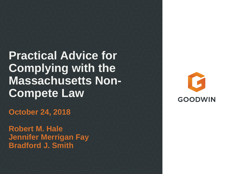**Practical Advice for Complying with the Massachusetts Non-Compete Law** 

**October 24, 2018** 

**Robert M. Hale Jennifer Merrigan Fay Bradford J. Smith** 

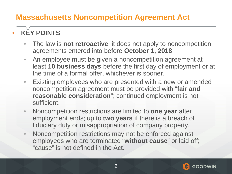### **KĚY POINTS**

- The law is **not retroactive**; it does not apply to noncompetition agreements entered into before **October 1, 2018**.
- An employee must be given a noncompetition agreement at least **10 business days** before the first day of employment or at the time of a formal offer, whichever is sooner.
- Existing employees who are presented with a new or amended noncompetition agreement must be provided with "**fair and reasonable consideration**"; continued employment is not sufficient.
- Noncompetition restrictions are limited to **one year** after employment ends; up to **two years** if there is a breach of fiduciary duty or misappropriation of company property.
- Noncompetition restrictions may not be enforced against employees who are terminated "**without cause**" or laid off; "cause" is not defined in the Act.

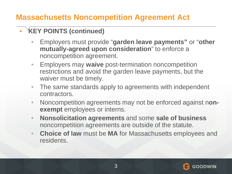#### **KEY POINTS (continued)**

- Employers must provide "**garden leave payments"** or "**other mutually-agreed upon consideration**" to enforce a noncompetition agreement.
- Employers may **waive** post-termination noncompetition restrictions and avoid the garden leave payments, but the waiver must be timely.
- The same standards apply to agreements with independent contractors.
- Noncompetition agreements may not be enforced against n**onexempt** employees or interns.
- **Nonsolicitation agreements** and some **sale of business**  noncompetition agreements are outside of the statute.
- **Choice of law** must be **MA** for Massachusetts employees and residents.

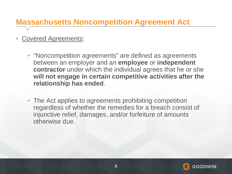- Covered Agreements:
	- "Noncompetition agreements" are defined as agreements between an employer and an **employee** or **independent contractor** under which the individual agrees that he or she **will not engage in certain competitive activities after the relationship has ended**.
	- The Act applies to agreements prohibiting competition regardless of whether the remedies for a breach consist of injunctive relief, damages, and/or forfeiture of amounts otherwise due.

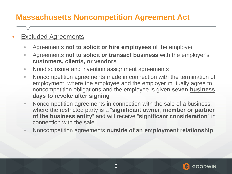- **Excluded Agreements:** 
	- Agreements **not to solicit or hire employees** of the employer
	- Agreements **not to solicit or transact business** with the employer's **customers, clients, or vendors**
	- Nondisclosure and invention assignment agreements
	- Noncompetition agreements made in connection with the termination of employment, where the employee and the employer mutually agree to noncompetition obligations and the employee is given **seven business days to revoke after signing**
	- Noncompetition agreements in connection with the sale of a business, where the restricted party is a "**significant owner**, **member or partner of the business entity**" and will receive "**significant consideration**" in connection with the sale
	- Noncompetition agreements **outside of an employment relationship**

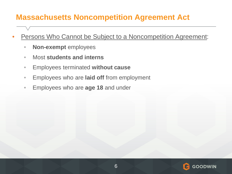- Persons Who Cannot be Subject to a Noncompetition Agreement:
	- **Non-exempt** employees
	- Most **students and interns**
	- Employees terminated **without cause**
	- Employees who are **laid off** from employment
	- Employees who are **age 18** and under

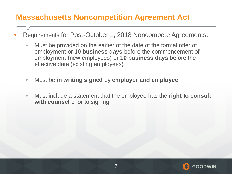- Requirements for **Post-October 1, 2018 Noncompete Agreements:** 
	- Must be provided on the earlier of the date of the formal offer of employment or **10 business days** before the commencement of employment (new employees) or **10 business days** before the effective date (existing employees)
	- Must be **in writing signed** by **employer and employee**
	- Must include a statement that the employee has the **right to consult with counsel** prior to signing

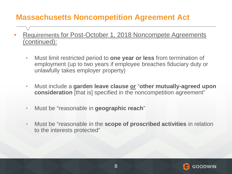- Requirements for Post-October 1, 2018 Noncompete Agreements (continued):
	- Must limit restricted period to **one year or less** from termination of employment (up to two years if employee breaches fiduciary duty or unlawfully takes employer property)
	- Must include a **garden leave clause or** "**other mutually-agreed upon consideration** [that is] specified in the noncompetition agreement"
	- Must be "reasonable in **geographic reach**"
	- Must be "reasonable in the **scope of proscribed activities** in relation to the interests protected"

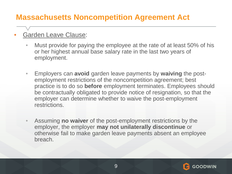#### • Garden Leave Clause:

- Must provide for paying the employee at the rate of at least 50% of his or her highest annual base salary rate in the last two years of employment.
- Employers can **avoid** garden leave payments by **waiving** the postemployment restrictions of the noncompetition agreement; best practice is to do so **before** employment terminates. Employees should be contractually obligated to provide notice of resignation, so that the employer can determine whether to waive the post-employment restrictions.
- Assuming **no waiver** of the post-employment restrictions by the employer, the employer **may not unilaterally discontinue** or otherwise fail to make garden leave payments absent an employee breach.

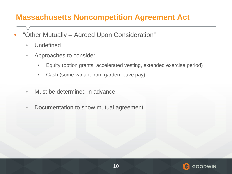- "Other Mutually Agreed Upon Consideration"
	- Undefined
	- Approaches to consider
		- Equity (option grants, accelerated vesting, extended exercise period)
		- Cash (some variant from garden leave pay)
	- Must be determined in advance
	- Documentation to show mutual agreement

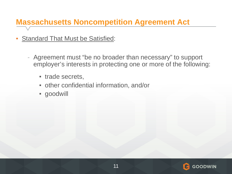- Standard That Must be Satisfied:
	- Agreement must "be no broader than necessary" to support employer's interests in protecting one or more of the following:
		- **· trade secrets,**
		- other confidential information, and/or
		- goodwill

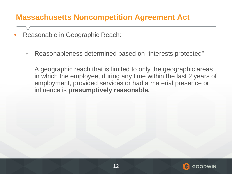- Reasonable in Geographic Reach:
	- Reasonableness determined based on "interests protected"

A geographic reach that is limited to only the geographic areas in which the employee, during any time within the last 2 years of employment, provided services or had a material presence or influence is **presumptively reasonable.** 

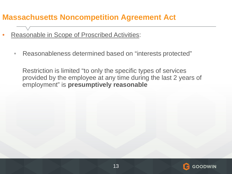- Reasonable in Scope of Proscribed Activities:
	- Reasonableness determined based on "interests protected"

Restriction is limited "to only the specific types of services provided by the employee at any time during the last 2 years of employment" is **presumptively reasonable**

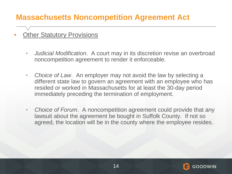- **Other Statutory Provisions** 
	- *Judicial Modification*. A court may in its discretion revise an overbroad noncompetition agreement to render it enforceable.
	- *Choice of Law*. An employer may not avoid the law by selecting a different state law to govern an agreement with an employee who has resided or worked in Massachusetts for at least the 30-day period immediately preceding the termination of employment.
	- *Choice of Forum*. A noncompetition agreement could provide that any lawsuit about the agreement be bought in Suffolk County. If not so agreed, the location will be in the county where the employee resides.